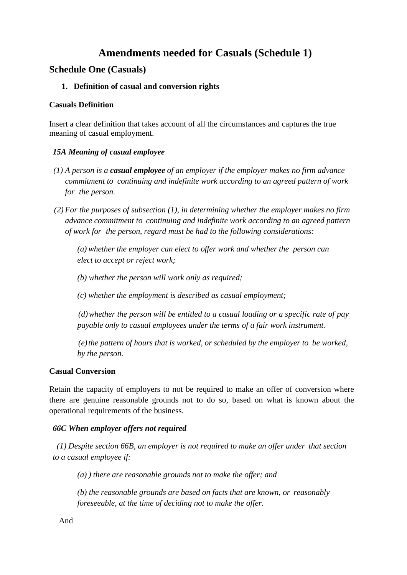# **Amendments needed for Casuals (Schedule 1)**

## **Schedule One (Casuals)**

## **1. Definition of casual and conversion rights**

### **Casuals Definition**

Insert a clear definition that takes account of all the circumstances and captures the true meaning of casual employment.

## *15A Meaning of casual employee*

- *(1) A person is a casual employee of an employer if the employer makes no firm advance commitment to continuing and indefinite work according to an agreed pattern of work for the person.*
- *(2) For the purposes of subsection (1), in determining whether the employer makes no firm advance commitment to continuing and indefinite work according to an agreed pattern of work for the person, regard must be had to the following considerations:*

*(a) whether the employer can elect to offer work and whether the person can elect to accept or reject work;*

*(b) whether the person will work only as required;*

*(c) whether the employment is described as casual employment;*

*(d)whether the person will be entitled to a casual loading or a specific rate of pay payable only to casual employees under the terms of a fair work instrument.*

*(e)the pattern of hours that is worked, or scheduled by the employer to be worked, by the person.*

### **Casual Conversion**

Retain the capacity of employers to not be required to make an offer of conversion where there are genuine reasonable grounds not to do so, based on what is known about the operational requirements of the business.

## *66C When employer offers not required*

*(1) Despite section 66B, an employer is not required to make an offer under that section to a casual employee if:*

*(a) ) there are reasonable grounds not to make the offer; and*

*(b) the reasonable grounds are based on facts that are known, or reasonably foreseeable, at the time of deciding not to make the offer.*

And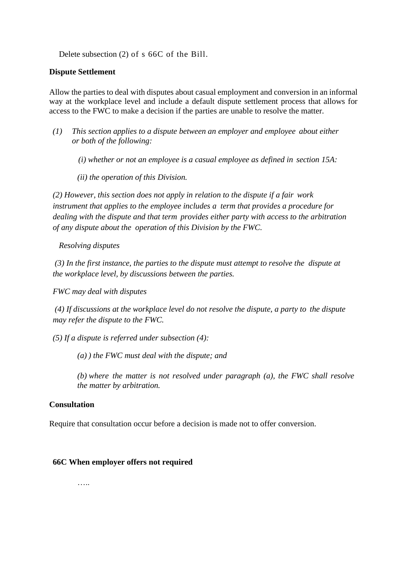Delete subsection (2) of s 66C of the Bill.

#### **Dispute Settlement**

Allow the parties to deal with disputes about casual employment and conversion in an informal way at the workplace level and include a default dispute settlement process that allows for access to the FWC to make a decision if the parties are unable to resolve the matter.

*(1) This section applies to a dispute between an employer and employee about either or both of the following:*

*(i) whether or not an employee is a casual employee as defined in section 15A:*

*(ii) the operation of this Division.*

*(2) However, this section does not apply in relation to the dispute if a fair work instrument that applies to the employee includes a term that provides a procedure for dealing with the dispute and that term provides either party with access to the arbitration of any dispute about the operation of this Division by the FWC.*

*Resolving disputes*

*(3) In the first instance, the parties to the dispute must attempt to resolve the dispute at the workplace level, by discussions between the parties.*

*FWC may deal with disputes*

*(4) If discussions at the workplace level do not resolve the dispute, a party to the dispute may refer the dispute to the FWC.*

*(5) If a dispute is referred under subsection (4):*

*(a) ) the FWC must deal with the dispute; and*

*(b) where the matter is not resolved under paragraph (a), the FWC shall resolve the matter by arbitration.*

#### **Consultation**

Require that consultation occur before a decision is made not to offer conversion.

#### **66C When employer offers not required**

……